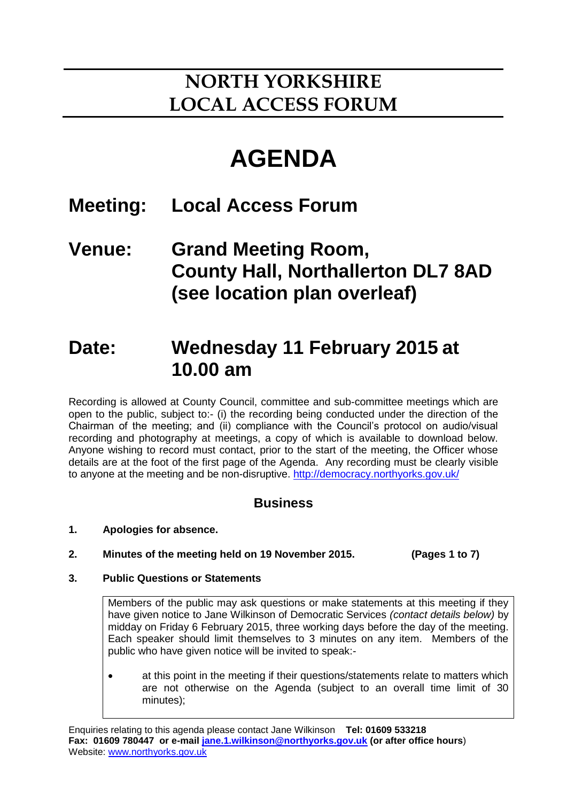## **NORTH YORKSHIRE LOCAL ACCESS FORUM**

# **AGENDA**

### **Meeting: Local Access Forum**

**Venue: Grand Meeting Room, County Hall, Northallerton DL7 8AD (see location plan overleaf)**

## **Date: Wednesday 11 February 2015 at 10.00 am**

Recording is allowed at County Council, committee and sub-committee meetings which are open to the public, subject to:- (i) the recording being conducted under the direction of the Chairman of the meeting; and (ii) compliance with the Council's protocol on audio/visual recording and photography at meetings, a copy of which is available to download below. Anyone wishing to record must contact, prior to the start of the meeting, the Officer whose details are at the foot of the first page of the Agenda. Any recording must be clearly visible to anyone at the meeting and be non-disruptive.<http://democracy.northyorks.gov.uk/>

### **Business**

- **1. Apologies for absence.**
- **2. Minutes of the meeting held on 19 November 2015. (Pages 1 to 7)**
- **3. Public Questions or Statements**

Members of the public may ask questions or make statements at this meeting if they have given notice to Jane Wilkinson of Democratic Services *(contact details below)* by midday on Friday 6 February 2015, three working days before the day of the meeting. Each speaker should limit themselves to 3 minutes on any item. Members of the public who have given notice will be invited to speak:-

 at this point in the meeting if their questions/statements relate to matters which are not otherwise on the Agenda (subject to an overall time limit of 30 minutes);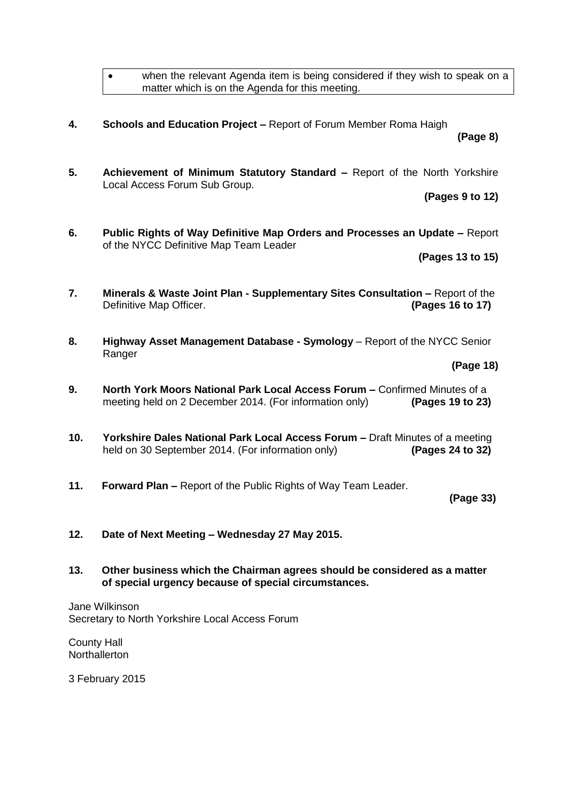when the relevant Agenda item is being considered if they wish to speak on a matter which is on the Agenda for this meeting.

**4. Schools and Education Project –** Report of Forum Member Roma Haigh

**(Page 8)**

**5. Achievement of Minimum Statutory Standard –** Report of the North Yorkshire Local Access Forum Sub Group.

**(Pages 9 to 12)**

**6. Public Rights of Way Definitive Map Orders and Processes an Update –** Report of the NYCC Definitive Map Team Leader

**(Pages 13 to 15)**

- **7. Minerals & Waste Joint Plan - Supplementary Sites Consultation –** Report of the Definitive Map Officer. **(Pages 16 to 17)**
- **8. Highway Asset Management Database - Symology** Report of the NYCC Senior Ranger

**(Page 18)**

- **9. North York Moors National Park Local Access Forum –** Confirmed Minutes of a meeting held on 2 December 2014. (For information only) **(Pages 19 to 23)**
- **10. Yorkshire Dales National Park Local Access Forum –** Draft Minutes of a meeting held on 30 September 2014. (For information only) **(Pages 24 to 32)**
- **11. Forward Plan –** Report of the Public Rights of Way Team Leader.

**(Page 33)**

- **12. Date of Next Meeting – Wednesday 27 May 2015.**
- **13. Other business which the Chairman agrees should be considered as a matter of special urgency because of special circumstances.**

Jane Wilkinson Secretary to North Yorkshire Local Access Forum

County Hall **Northallerton** 

3 February 2015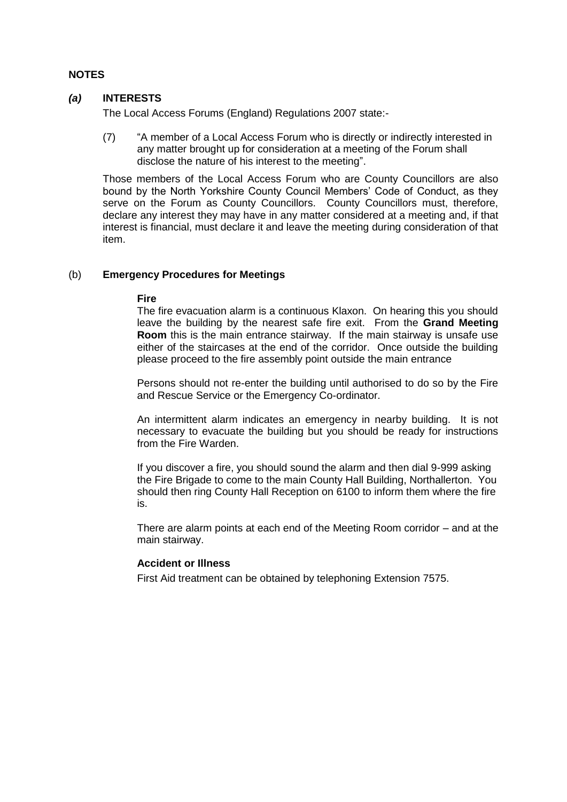#### **NOTES**

#### *(a)* **INTERESTS**

The Local Access Forums (England) Regulations 2007 state:-

(7) "A member of a Local Access Forum who is directly or indirectly interested in any matter brought up for consideration at a meeting of the Forum shall disclose the nature of his interest to the meeting".

Those members of the Local Access Forum who are County Councillors are also bound by the North Yorkshire County Council Members' Code of Conduct, as they serve on the Forum as County Councillors. County Councillors must, therefore, declare any interest they may have in any matter considered at a meeting and, if that interest is financial, must declare it and leave the meeting during consideration of that item.

#### (b) **Emergency Procedures for Meetings**

#### **Fire**

The fire evacuation alarm is a continuous Klaxon. On hearing this you should leave the building by the nearest safe fire exit. From the **Grand Meeting Room** this is the main entrance stairway. If the main stairway is unsafe use either of the staircases at the end of the corridor. Once outside the building please proceed to the fire assembly point outside the main entrance

Persons should not re-enter the building until authorised to do so by the Fire and Rescue Service or the Emergency Co-ordinator.

An intermittent alarm indicates an emergency in nearby building. It is not necessary to evacuate the building but you should be ready for instructions from the Fire Warden.

If you discover a fire, you should sound the alarm and then dial 9-999 asking the Fire Brigade to come to the main County Hall Building, Northallerton. You should then ring County Hall Reception on 6100 to inform them where the fire is.

There are alarm points at each end of the Meeting Room corridor – and at the main stairway.

#### **Accident or Illness**

First Aid treatment can be obtained by telephoning Extension 7575.